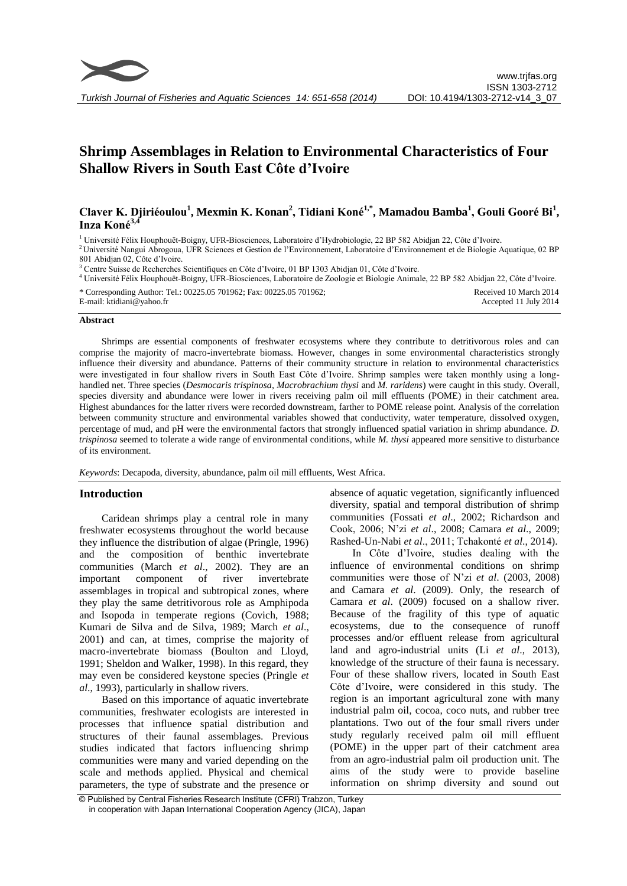# **Shrimp Assemblages in Relation to Environmental Characteristics of Four Shallow Rivers in South East Côte d'Ivoire**

## **Claver K. Djiriéoulou<sup>1</sup> , Mexmin K. Konan<sup>2</sup> , Tidiani Koné1,\*, Mamadou Bamba<sup>1</sup> , Gouli Gooré Bi<sup>1</sup> , Inza Koné3,4**

<sup>1</sup> Université Félix Houphouët-Boigny, UFR-Biosciences, Laboratoire d'Hydrobiologie, 22 BP 582 Abidjan 22, Côte d'Ivoire.

<sup>2</sup> Université Nangui Abrogoua, UFR Sciences et Gestion de l'Environnement, Laboratoire d'Environnement et de Biologie Aquatique, 02 BP 801 Abidjan 02, Côte d'Ivoire.

<sup>3</sup> Centre Suisse de Recherches Scientifiques en Côte d'Ivoire, 01 BP 1303 Abidjan 01, Côte d'Ivoire.

<sup>4</sup> Université Félix Houphouët-Boigny, UFR-Biosciences, Laboratoire de Zoologie et Biologie Animale, 22 BP 582 Abidjan 22, Côte d'Ivoire.

\* Corresponding Author: Tel.: 00225.05 701962; Fax: 00225.05 701962; E-mail: ktidiani@yahoo.fr Received 10 March 2014 Accepted 11 July 2014

#### **Abstract**

Shrimps are essential components of freshwater ecosystems where they contribute to detritivorous roles and can comprise the majority of macro-invertebrate biomass. However, changes in some environmental characteristics strongly influence their diversity and abundance. Patterns of their community structure in relation to environmental characteristics were investigated in four shallow rivers in South East Côte d'Ivoire. Shrimp samples were taken monthly using a longhandled net. Three species (*Desmocaris trispinosa, Macrobrachium thysi* and *M. raridens*) were caught in this study. Overall, species diversity and abundance were lower in rivers receiving palm oil mill effluents (POME) in their catchment area. Highest abundances for the latter rivers were recorded downstream, farther to POME release point. Analysis of the correlation between community structure and environmental variables showed that conductivity, water temperature, dissolved oxygen, percentage of mud, and pH were the environmental factors that strongly influenced spatial variation in shrimp abundance. *D. trispinosa* seemed to tolerate a wide range of environmental conditions, while *M. thysi* appeared more sensitive to disturbance of its environment.

*Keywords*: Decapoda, diversity, abundance, palm oil mill effluents, West Africa.

## **Introduction**

Caridean shrimps play a central role in many freshwater ecosystems throughout the world because they influence the distribution of algae (Pringle, 1996) and the composition of benthic invertebrate communities (March *et al*., 2002). They are an important component of river invertebrate assemblages in tropical and subtropical zones, where they play the same detritivorous role as Amphipoda and Isopoda in temperate regions (Covich, 1988; Kumari de Silva and de Silva, 1989; March *et al*., 2001) and can, at times, comprise the majority of macro-invertebrate biomass (Boulton and Lloyd, 1991; Sheldon and Walker, 1998). In this regard, they may even be considered keystone species (Pringle *et al*., 1993), particularly in shallow rivers.

Based on this importance of aquatic invertebrate communities, freshwater ecologists are interested in processes that influence spatial distribution and structures of their faunal assemblages. Previous studies indicated that factors influencing shrimp communities were many and varied depending on the scale and methods applied. Physical and chemical parameters, the type of substrate and the presence or

absence of aquatic vegetation, significantly influenced diversity, spatial and temporal distribution of shrimp communities (Fossati *et al*., 2002; Richardson and Cook, 2006; N'zi *et al*., 2008; Camara *et al*., 2009; Rashed-Un-Nabi *et al*., 2011; Tchakonté *et al*., 2014).

In Côte d'Ivoire, studies dealing with the influence of environmental conditions on shrimp communities were those of N'zi *et al*. (2003, 2008) and Camara *et al*. (2009). Only, the research of Camara *et al*. (2009) focused on a shallow river. Because of the fragility of this type of aquatic ecosystems, due to the consequence of runoff processes and/or effluent release from agricultural land and agro-industrial units (Li *et al*., 2013), knowledge of the structure of their fauna is necessary. Four of these shallow rivers, located in South East Côte d'Ivoire, were considered in this study. The region is an important agricultural zone with many industrial palm oil, cocoa, coco nuts, and rubber tree plantations. Two out of the four small rivers under study regularly received palm oil mill effluent (POME) in the upper part of their catchment area from an agro-industrial palm oil production unit. The aims of the study were to provide baseline information on shrimp diversity and sound out

<sup>©</sup> Published by Central Fisheries Research Institute (CFRI) Trabzon, Turkey in cooperation with Japan International Cooperation Agency (JICA), Japan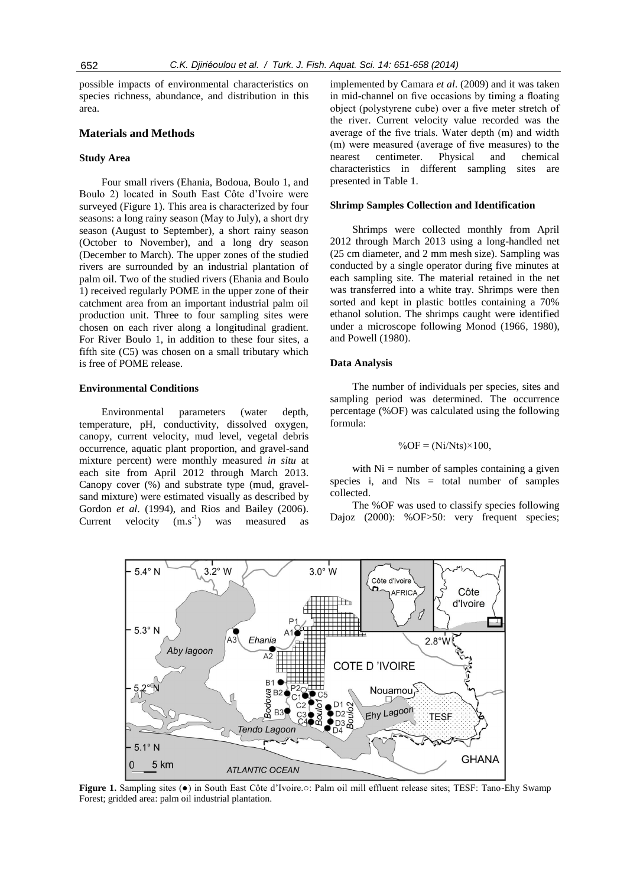possible impacts of environmental characteristics on species richness, abundance, and distribution in this area.

## **Materials and Methods**

## **Study Area**

Four small rivers (Ehania, Bodoua, Boulo 1, and Boulo 2) located in South East Côte d'Ivoire were surveyed (Figure 1). This area is characterized by four seasons: a long rainy season (May to July), a short dry season (August to September), a short rainy season (October to November), and a long dry season (December to March). The upper zones of the studied rivers are surrounded by an industrial plantation of palm oil. Two of the studied rivers (Ehania and Boulo 1) received regularly POME in the upper zone of their catchment area from an important industrial palm oil production unit. Three to four sampling sites were chosen on each river along a longitudinal gradient. For River Boulo 1, in addition to these four sites, a fifth site (C5) was chosen on a small tributary which is free of POME release.

## **Environmental Conditions**

Environmental parameters (water depth, temperature, pH, conductivity, dissolved oxygen, canopy, current velocity, mud level, vegetal debris occurrence, aquatic plant proportion, and gravel-sand mixture percent) were monthly measured *in situ* at each site from April 2012 through March 2013. Canopy cover (%) and substrate type (mud, gravelsand mixture) were estimated visually as described by Gordon *et al*. (1994), and Rios and Bailey (2006). Current velocity  $(m.s^{-1})$ ) was measured as

implemented by Camara *et al*. (2009) and it was taken in mid-channel on five occasions by timing a floating object (polystyrene cube) over a five meter stretch of the river. Current velocity value recorded was the average of the five trials. Water depth (m) and width (m) were measured (average of five measures) to the nearest centimeter. Physical and chemical characteristics in different sampling sites are presented in Table 1.

#### **Shrimp Samples Collection and Identification**

Shrimps were collected monthly from April 2012 through March 2013 using a long-handled net (25 cm diameter, and 2 mm mesh size). Sampling was conducted by a single operator during five minutes at each sampling site. The material retained in the net was transferred into a white tray. Shrimps were then sorted and kept in plastic bottles containing a 70% ethanol solution. The shrimps caught were identified under a microscope following Monod (1966, 1980), and Powell (1980).

#### **Data Analysis**

The number of individuals per species, sites and sampling period was determined. The occurrence percentage (%OF) was calculated using the following formula:

$$
\%OF = (Ni/Nts) \times 100,
$$

with  $Ni =$  number of samples containing a given species i, and  $Nts = total number of samples$ collected.

The %OF was used to classify species following Dajoz (2000): %OF>50: very frequent species;



**Figure 1.** Sampling sites (●) in South East Côte d'Ivoire.○: Palm oil mill effluent release sites; TESF: Tano-Ehy Swamp Forest; gridded area: palm oil industrial plantation.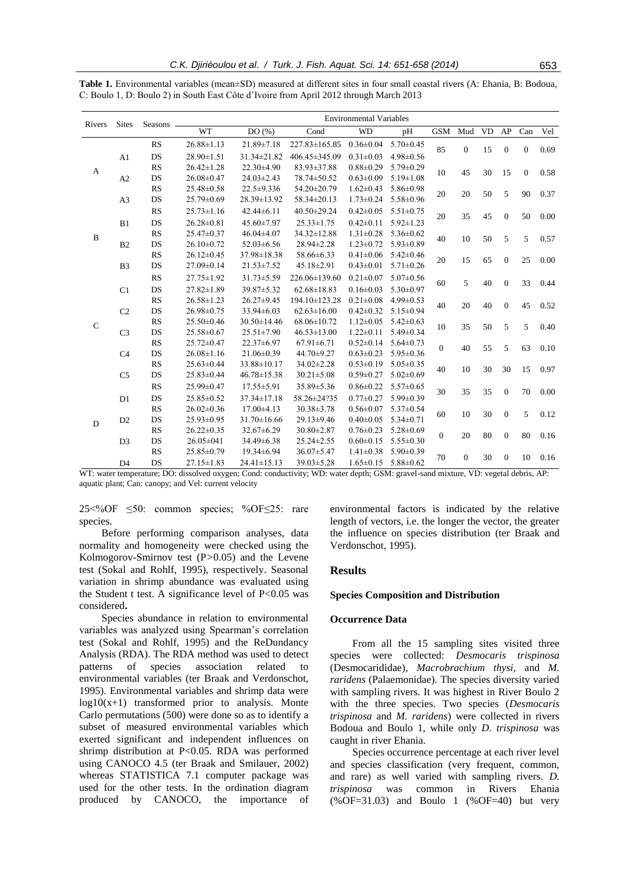| Rivers           | <b>Sites</b>   | Seasons - | <b>Environmental Variables</b> |                   |                     |                 |                 |                  |                  |        |                |                  |      |
|------------------|----------------|-----------|--------------------------------|-------------------|---------------------|-----------------|-----------------|------------------|------------------|--------|----------------|------------------|------|
|                  |                |           | <b>WT</b>                      | DO(%)             | Cond                | <b>WD</b>       | pH              | <b>GSM</b>       | Mud              | VD     | AP             | Can              | Vel  |
| A                |                | <b>RS</b> | $26.88 \pm 1.13$               | 21.89±7.18        | $227.83 \pm 165.85$ | $0.36 \pm 0.04$ | $5.70 \pm 0.45$ | 85               | $\boldsymbol{0}$ | 15     | $\mathbf{0}$   | $\boldsymbol{0}$ | 0.69 |
|                  | A1             | DS        | $28.90 \pm 1.51$               | 31.34±21.82       | 406.45±345.09       | $0.31 \pm 0.03$ | $4.98 \pm 0.56$ |                  |                  |        |                |                  |      |
|                  |                | <b>RS</b> | $26.42 \pm 1.28$               | $22.30\pm4.90$    | 83.93±37.88         | $0.88 \pm 0.29$ | $5.79 \pm 0.29$ | 10               | 45               | 30     | 15             | $\overline{0}$   | 0.58 |
|                  | A2             | DS        | $26.08 \pm 0.47$               | $24.03 \pm 2.43$  | 78.74±50.52         | $0.63 \pm 0.09$ | $5.19 \pm 1.08$ |                  |                  |        |                |                  |      |
|                  |                | <b>RS</b> | 25.48±0.58                     | 22.5±9.336        | 54.20±20.79         | $1.62 \pm 0.43$ | $5.86 \pm 0.98$ | 20               | 20               | 50     | 5              | 90               | 0.37 |
|                  | A <sub>3</sub> | DS        | 25.79±0.69                     | 28.39±13.92       | 58.34±20.13         | $1.73 \pm 0.24$ | $5.58 \pm 0.96$ |                  |                  |        |                |                  |      |
|                  |                | <b>RS</b> | $25.73 \pm 1.16$               | $42.44\pm 6.11$   | 40.50±29.24         | $0.42 \pm 0.05$ | $5.51 \pm 0.75$ | 20               | 35               | 45     | $\mathbf{0}$   | 50               | 0.00 |
| $\, {\bf B}$     | B1             | DS        | $26.28 \pm 0.81$               | $45.60 \pm 7.97$  | $25.33 \pm 1.75$    | $0.42 \pm 0.11$ | $5.92 \pm 1.23$ |                  |                  |        |                |                  |      |
|                  | B2             | <b>RS</b> | $25.47\pm0.37$                 | $46.04 \pm 4.07$  | $34.32 \pm 12.88$   | $1.31 \pm 0.28$ | $5.36 \pm 0.62$ |                  | 10               | 50     | 5              | 5                | 0.57 |
|                  |                | DS        | $26.10\pm0.72$                 | $52.03 \pm 6.56$  | 28.94±2.28          | $1.23 \pm 0.72$ | $5.93 \pm 0.89$ | 40               |                  |        |                |                  |      |
|                  | B <sub>3</sub> | <b>RS</b> | $26.12 \pm 0.45$               | $37.98 \pm 18.38$ | 58.66±6.33          | $0.41 \pm 0.06$ | $5.42 \pm 0.46$ | 20               | 15               | 65     | $\mathbf{0}$   | 25               | 0.00 |
|                  |                | DS        | $27.09 \pm 0.14$               | $21.53 \pm 7.52$  | 45.18±2.91          | $0.43 \pm 0.01$ | $5.71 \pm 0.26$ |                  |                  |        |                |                  |      |
| $\mathbf C$<br>D | C <sub>1</sub> | <b>RS</b> | $27.75 \pm 1.92$               | $31.73 \pm 5.59$  | $226.06 \pm 139.60$ | $0.21 \pm 0.07$ | $5.07 \pm 0.56$ | 60               | 5                | 40     | $\mathbf{0}$   | 33               | 0.44 |
|                  |                | DS        | $27.82 \pm 1.89$               | 39.87±5.32        | $62.68 \pm 18.83$   | $0.16 \pm 0.03$ | $5.30 \pm 0.97$ |                  |                  |        |                |                  |      |
|                  |                | <b>RS</b> | $26.58 \pm 1.23$               | $26.27 \pm 9.45$  | 194.10±123.28       | $0.21 \pm 0.08$ | $4.99 \pm 0.53$ | 40               | 20               | 40     | $\mathbf{0}$   | 45               | 0.52 |
|                  | C <sub>2</sub> | DS        | 26.98±0.75                     | $33.94 \pm 6.03$  | $62.63 \pm 16.00$   | $0.42 \pm 0.32$ | $5.15 \pm 0.94$ |                  |                  |        |                |                  |      |
|                  | C <sub>3</sub> | <b>RS</b> | $25.50 \pm 0.46$               | $30.50 \pm 14.46$ | $68.06 \pm 10.72$   | $1.12 \pm 0.05$ | $5.42 \pm 0.63$ | 10               | 35               | 50     | 5              | 5                | 0.40 |
|                  |                | DS        | $25.58 \pm 0.67$               | $25.51 \pm 7.90$  | $46.53 \pm 13.00$   | $1.22 \pm 0.11$ | $5.49 \pm 0.34$ |                  |                  |        |                |                  |      |
|                  | C <sub>4</sub> | <b>RS</b> | $25.72 \pm 0.47$               | $22.37\pm 6.97$   | $67.91 \pm 6.71$    | $0.52 \pm 0.14$ | $5.64 \pm 0.73$ | $\boldsymbol{0}$ | 40               | 55     | 5              | 63               | 0.10 |
|                  |                | DS        | $26.08 \pm 1.16$               | $21.06 \pm 0.39$  | 44.70±9.27          | $0.63 \pm 0.23$ | $5.95 \pm 0.36$ |                  |                  |        |                |                  |      |
|                  | C <sub>5</sub> | RS        | $25.63 \pm 0.44$               | 33.88±10.17       | $34.02 \pm 2.28$    | $0.53 \pm 0.19$ | $5.05 \pm 0.35$ | 40               | 10               | 30     | 30             | 15               | 0.97 |
|                  |                | DS        | $25.83 \pm 0.44$               | 46.78±15.38       | $30.21 \pm 5.08$    | $0.59 \pm 0.27$ | $5.02 \pm 0.69$ |                  |                  |        |                |                  |      |
|                  | D1             | <b>RS</b> | 25.99±0.47                     | $17.55 \pm 5.91$  | 35.89 ± 5.36        | $0.86 \pm 0.22$ | $5.57 \pm 0.65$ | 30               | 35               | 35     | $\mathbf{0}$   | 70               | 0.00 |
|                  |                | DS        | $25.85 \pm 0.52$               | $37.34 \pm 17.18$ | 58.26±24?35         | $0.77 \pm 0.27$ | $5.99 \pm 0.39$ |                  |                  |        |                |                  |      |
|                  |                | <b>RS</b> | $26.02 \pm 0.36$               | $17.00\pm4.13$    | $30.38 \pm 3.78$    | $0.56 \pm 0.07$ | $5.37 \pm 0.54$ | 60               | 10               | $30\,$ | $\mathbf{0}$   | 5                | 0.12 |
|                  | D2             | DS        | 25.93±0.95                     | $31.70 \pm 16.66$ | $29.13 \pm 9.46$    | $0.40 \pm 0.05$ | $5.34 \pm 0.71$ |                  |                  |        |                |                  |      |
|                  |                | <b>RS</b> | $26.22 \pm 0.35$               | $32.67 \pm 6.29$  | $30.80 \pm 2.87$    | $0.76 \pm 0.23$ | $5.28 \pm 0.69$ | $\boldsymbol{0}$ |                  | 80     | $\mathbf{0}$   | 80               | 0.16 |
|                  | D <sub>3</sub> | DS        | $26.05 \pm 041$                | 34.49±6.38        | $25.24 \pm 2.55$    | $0.60 \pm 0.15$ | $5.55 \pm 0.30$ |                  | 20               |        |                |                  |      |
|                  |                | <b>RS</b> | $25.85 \pm 0.79$               | 19.34±6.94        | 36.07±5.47          | $1.41 \pm 0.38$ | $5.90 \pm 0.39$ | 70               | $\boldsymbol{0}$ | 30     | $\overline{0}$ | 10               | 0.16 |
|                  | D <sub>4</sub> | DS        | $27.15 \pm 1.83$               | $24.41 \pm 15.13$ | $39.03 \pm 5.28$    | $1.65 \pm 0.15$ | $5.88 \pm 0.62$ |                  |                  |        |                |                  |      |

**Table 1.** Environmental variables (mean±SD) measured at different sites in four small coastal rivers (A: Ehania, B: Bodoua, C: Boulo 1, D: Boulo 2) in South East Côte d'Ivoire from April 2012 through March 2013

WT: water temperature; DO: dissolved oxygen; Cond: conductivity; WD: water depth; GSM: gravel-sand mixture, VD: vegetal debris, AP: aquatic plant; Can: canopy; and Vel: current velocity

25<%OF ≤50: common species; %OF≤25: rare species.

Before performing comparison analyses, data normality and homogeneity were checked using the Kolmogorov-Smirnov test (P*>*0.05) and the Levene test (Sokal and Rohlf, 1995), respectively. Seasonal variation in shrimp abundance was evaluated using the Student t test. A significance level of  $P<0.05$  was considered**.**

Species abundance in relation to environmental variables was analyzed using Spearman's correlation test (Sokal and Rohlf, 1995) and the ReDundancy Analysis (RDA). The RDA method was used to detect patterns of species association related to environmental variables (ter Braak and Verdonschot, 1995). Environmental variables and shrimp data were  $log10(x+1)$  transformed prior to analysis. Monte Carlo permutations (500) were done so as to identify a subset of measured environmental variables which exerted significant and independent influences on shrimp distribution at P<0.05. RDA was performed using CANOCO 4.5 (ter Braak and Smilauer, 2002) whereas STATISTICA 7.1 computer package was used for the other tests. In the ordination diagram produced by CANOCO, the importance of environmental factors is indicated by the relative length of vectors, i.e. the longer the vector, the greater the influence on species distribution (ter Braak and Verdonschot, 1995).

## **Results**

## **Species Composition and Distribution**

#### **Occurrence Data**

From all the 15 sampling sites visited three species were collected: *Desmocaris trispinosa*  (Desmocarididae), *Macrobrachium thysi,* and *M. raridens* (Palaemonidae). The species diversity varied with sampling rivers. It was highest in River Boulo 2 with the three species. Two species (*Desmocaris trispinosa* and *M. raridens*) were collected in rivers Bodoua and Boulo 1, while only *D. trispinosa* was caught in river Ehania.

Species occurrence percentage at each river level and species classification (very frequent, common, and rare) as well varied with sampling rivers. *D. trispinosa* was common in Rivers Ehania (%OF=31.03) and Boulo 1 (%OF=40) but very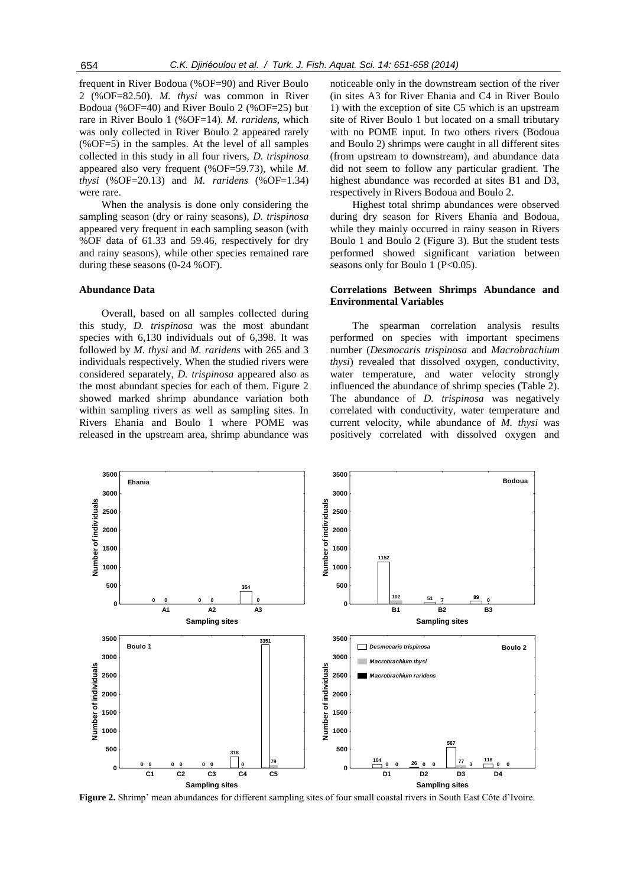frequent in River Bodoua (%OF=90) and River Boulo 2 (%OF=82.50). *M. thysi* was common in River Bodoua (%OF=40) and River Boulo 2 (%OF=25) but rare in River Boulo 1 (%OF=14). *M. raridens*, which was only collected in River Boulo 2 appeared rarely (%OF=5) in the samples. At the level of all samples collected in this study in all four rivers, *D. trispinosa* appeared also very frequent (%OF=59.73), while *M. thysi* (%OF=20.13) and *M. raridens* (%OF=1.34) were rare.

When the analysis is done only considering the sampling season (dry or rainy seasons), *D. trispinosa*  appeared very frequent in each sampling season (with %OF data of 61.33 and 59.46, respectively for dry and rainy seasons), while other species remained rare during these seasons (0-24 %OF).

## **Abundance Data**

Overall, based on all samples collected during this study, *D. trispinosa* was the most abundant species with 6,130 individuals out of 6,398. It was followed by *M. thysi* and *M. raridens* with 265 and 3 individuals respectively. When the studied rivers were considered separately, *D. trispinosa* appeared also as the most abundant species for each of them. Figure 2 showed marked shrimp abundance variation both within sampling rivers as well as sampling sites. In Rivers Ehania and Boulo 1 where POME was released in the upstream area, shrimp abundance was

noticeable only in the downstream section of the river (in sites A3 for River Ehania and C4 in River Boulo 1) with the exception of site C5 which is an upstream site of River Boulo 1 but located on a small tributary with no POME input. In two others rivers (Bodoua and Boulo 2) shrimps were caught in all different sites (from upstream to downstream), and abundance data did not seem to follow any particular gradient. The highest abundance was recorded at sites B1 and D3, respectively in Rivers Bodoua and Boulo 2.

Highest total shrimp abundances were observed during dry season for Rivers Ehania and Bodoua, while they mainly occurred in rainy season in Rivers Boulo 1 and Boulo 2 (Figure 3). But the student tests performed showed significant variation between seasons only for Boulo 1 (P<0.05).

## **Correlations Between Shrimps Abundance and Environmental Variables**

The spearman correlation analysis results performed on species with important specimens number (*Desmocaris trispinosa* and *Macrobrachium thysi*) revealed that dissolved oxygen, conductivity, water temperature, and water velocity strongly influenced the abundance of shrimp species (Table 2). The abundance of *D. trispinosa* was negatively correlated with conductivity, water temperature and current velocity, while abundance of *M. thysi* was positively correlated with dissolved oxygen and



**Figure 2.** Shrimp' mean abundances for different sampling sites of four small coastal rivers in South East Côte d'Ivoire.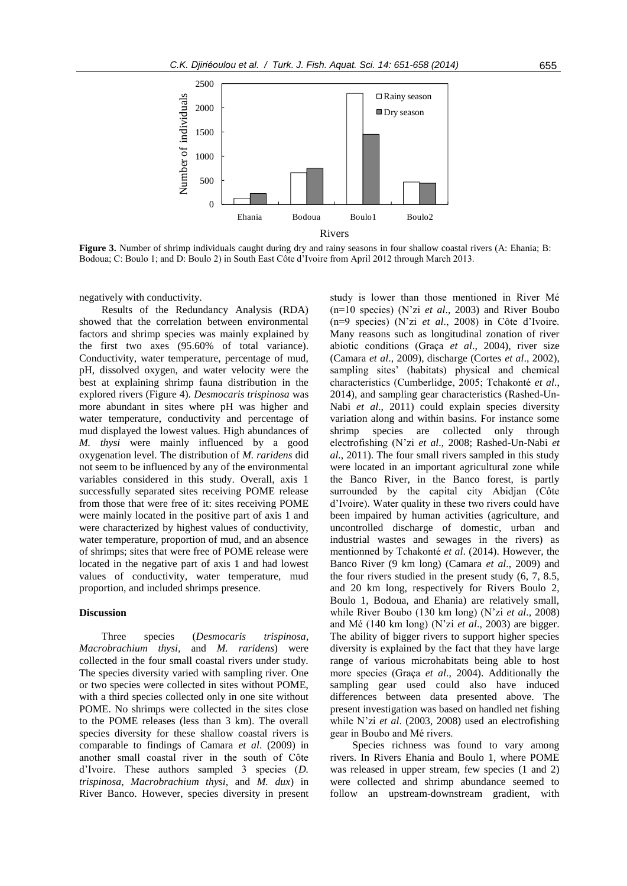

**Figure 3.** Number of shrimp individuals caught during dry and rainy seasons in four shallow coastal rivers (A: Ehania; B: Bodoua; C: Boulo 1; and D: Boulo 2) in South East Côte d'Ivoire from April 2012 through March 2013.

negatively with conductivity.

Results of the Redundancy Analysis (RDA) showed that the correlation between environmental factors and shrimp species was mainly explained by the first two axes (95.60% of total variance). Conductivity, water temperature, percentage of mud, pH, dissolved oxygen, and water velocity were the best at explaining shrimp fauna distribution in the explored rivers (Figure 4). *Desmocaris trispinosa* was more abundant in sites where pH was higher and water temperature, conductivity and percentage of mud displayed the lowest values. High abundances of *M. thysi* were mainly influenced by a good oxygenation level. The distribution of *M. raridens* did not seem to be influenced by any of the environmental variables considered in this study. Overall, axis 1 successfully separated sites receiving POME release from those that were free of it: sites receiving POME were mainly located in the positive part of axis 1 and were characterized by highest values of conductivity, water temperature, proportion of mud, and an absence of shrimps; sites that were free of POME release were located in the negative part of axis 1 and had lowest values of conductivity, water temperature, mud proportion, and included shrimps presence.

## **Discussion**

Three species (*Desmocaris trispinosa*, *Macrobrachium thysi,* and *M. raridens*) were collected in the four small coastal rivers under study. The species diversity varied with sampling river. One or two species were collected in sites without POME, with a third species collected only in one site without POME. No shrimps were collected in the sites close to the POME releases (less than 3 km). The overall species diversity for these shallow coastal rivers is comparable to findings of Camara *et al*. (2009) in another small coastal river in the south of Côte d'Ivoire. These authors sampled 3 species (*D. trispinosa*, *Macrobrachium thysi,* and *M. dux*) in River Banco. However, species diversity in present

study is lower than those mentioned in River Mé (n=10 species) (N'zi *et al*., 2003) and River Boubo (n=9 species) (N'zi *et al*., 2008) in Côte d'Ivoire. Many reasons such as longitudinal zonation of river abiotic conditions (Graça *et al*., 2004), river size (Camara *et al*., 2009), discharge (Cortes *et al*., 2002), sampling sites' (habitats) physical and chemical characteristics (Cumberlidge, 2005; Tchakonté *et al*., 2014), and sampling gear characteristics (Rashed-Un-Nabi *et al*., 2011) could explain species diversity variation along and within basins. For instance some shrimp species are collected only through electrofishing (N'zi *et al*., 2008; Rashed-Un-Nabi *et al*., 2011). The four small rivers sampled in this study were located in an important agricultural zone while the Banco River, in the Banco forest, is partly surrounded by the capital city Abidjan (Côte d'Ivoire). Water quality in these two rivers could have been impaired by human activities (agriculture, and uncontrolled discharge of domestic, urban and industrial wastes and sewages in the rivers) as mentionned by Tchakonté *et al*. (2014). However, the Banco River (9 km long) (Camara *et al*., 2009) and the four rivers studied in the present study (6, 7, 8.5, and 20 km long, respectively for Rivers Boulo 2, Boulo 1, Bodoua, and Ehania) are relatively small, while River Boubo (130 km long) (N'zi *et al*., 2008) and Mé (140 km long) (N'zi *et al*., 2003) are bigger. The ability of bigger rivers to support higher species diversity is explained by the fact that they have large range of various microhabitats being able to host more species (Graça *et al*., 2004). Additionally the sampling gear used could also have induced differences between data presented above. The present investigation was based on handled net fishing while N'zi *et al*. (2003, 2008) used an electrofishing gear in Boubo and Mé rivers.

Species richness was found to vary among rivers. In Rivers Ehania and Boulo 1, where POME was released in upper stream, few species (1 and 2) were collected and shrimp abundance seemed to follow an upstream-downstream gradient, with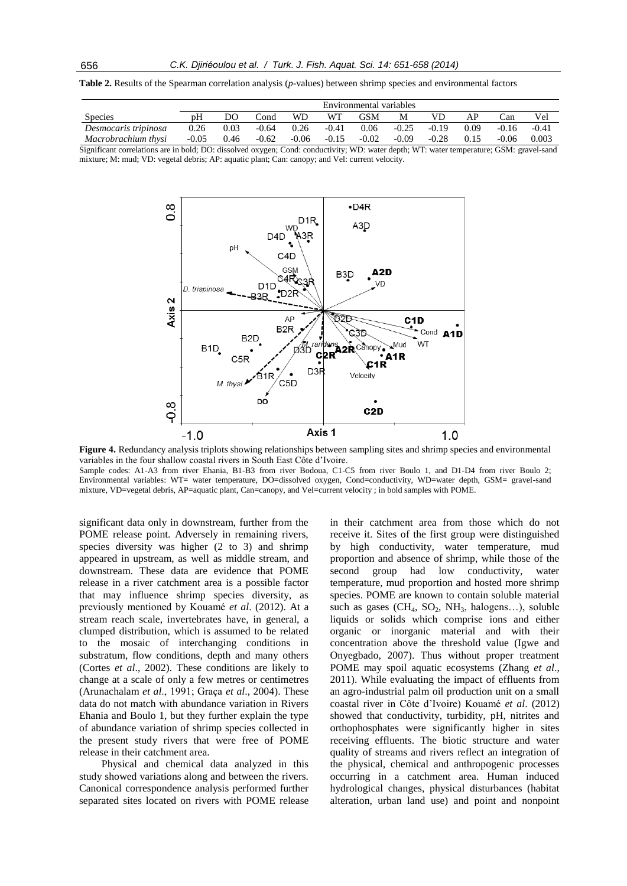**Table 2.** Results of the Spearman correlation analysis (*p*-values) between shrimp species and environmental factors

|                      | Environmental variables |      |         |           |         |                              |         |         |      |         |         |
|----------------------|-------------------------|------|---------|-----------|---------|------------------------------|---------|---------|------|---------|---------|
| <b>Species</b>       | pΗ                      | DΟ   | Cond    | <b>WD</b> | WТ      | GSM                          | M       | VD      |      | ∴an     | Vel     |
| Desmocaris tripinosa | 0.26                    | 0.03 | $-0.64$ | 0.26      | $-0.41$ | 0.06                         | $-0.25$ | $-0.19$ | 0.09 | $-0.16$ | $-0.41$ |
| Macrobrachium thysi  | $-0.05$                 | 0.46 | $-0.62$ | $-0.06$   | $-0.15$ | $-0.02$                      | $-0.09$ | $-0.28$ | 0.15 | $-0.06$ | 0.003   |
|                      | .                       |      |         |           |         | the property and property of |         |         |      | _______ |         |

Significant correlations are in bold; DO: dissolved oxygen; Cond: conductivity; WD: water depth; WT: water temperature; GSM: gravel-sand mixture; M: mud; VD: vegetal debris; AP: aquatic plant; Can: canopy; and Vel: current velocity.



**Figure 4.** Redundancy analysis triplots showing relationships between sampling sites and shrimp species and environmental variables in the four shallow coastal rivers in South East Côte d'Ivoire.

Sample codes: A1-A3 from river Ehania, B1-B3 from river Bodoua, C1-C5 from river Boulo 1, and D1-D4 from river Boulo 2; Environmental variables: WT= water temperature, DO=dissolved oxygen, Cond=conductivity, WD=water depth, GSM= gravel-sand mixture, VD=vegetal debris, AP=aquatic plant, Can=canopy, and Vel=current velocity ; in bold samples with POME.

significant data only in downstream, further from the POME release point. Adversely in remaining rivers, species diversity was higher (2 to 3) and shrimp appeared in upstream, as well as middle stream, and downstream. These data are evidence that POME release in a river catchment area is a possible factor that may influence shrimp species diversity, as previously mentioned by Kouamé *et al*. (2012). At a stream reach scale, invertebrates have, in general, a clumped distribution, which is assumed to be related to the mosaic of interchanging conditions in substratum, flow conditions, depth and many others (Cortes *et al*., 2002). These conditions are likely to change at a scale of only a few metres or centimetres (Arunachalam *et al*., 1991; Graça *et al*., 2004). These data do not match with abundance variation in Rivers Ehania and Boulo 1, but they further explain the type of abundance variation of shrimp species collected in the present study rivers that were free of POME release in their catchment area.

Physical and chemical data analyzed in this study showed variations along and between the rivers. Canonical correspondence analysis performed further separated sites located on rivers with POME release

in their catchment area from those which do not receive it. Sites of the first group were distinguished by high conductivity, water temperature, mud proportion and absence of shrimp, while those of the second group had low conductivity, water temperature, mud proportion and hosted more shrimp species. POME are known to contain soluble material such as gases  $(CH_4, SO_2, NH_3, halogens...),$  soluble liquids or solids which comprise ions and either organic or inorganic material and with their concentration above the threshold value (Igwe and Onyegbado, 2007). Thus without proper treatment POME may spoil aquatic ecosystems (Zhang *et al*., 2011). While evaluating the impact of effluents from an agro-industrial palm oil production unit on a small coastal river in Côte d'Ivoire) Kouamé *et al*. (2012) showed that conductivity, turbidity, pH, nitrites and orthophosphates were significantly higher in sites receiving effluents. The biotic structure and water quality of streams and rivers reflect an integration of the physical, chemical and anthropogenic processes occurring in a catchment area. Human induced hydrological changes, physical disturbances (habitat alteration, urban land use) and point and nonpoint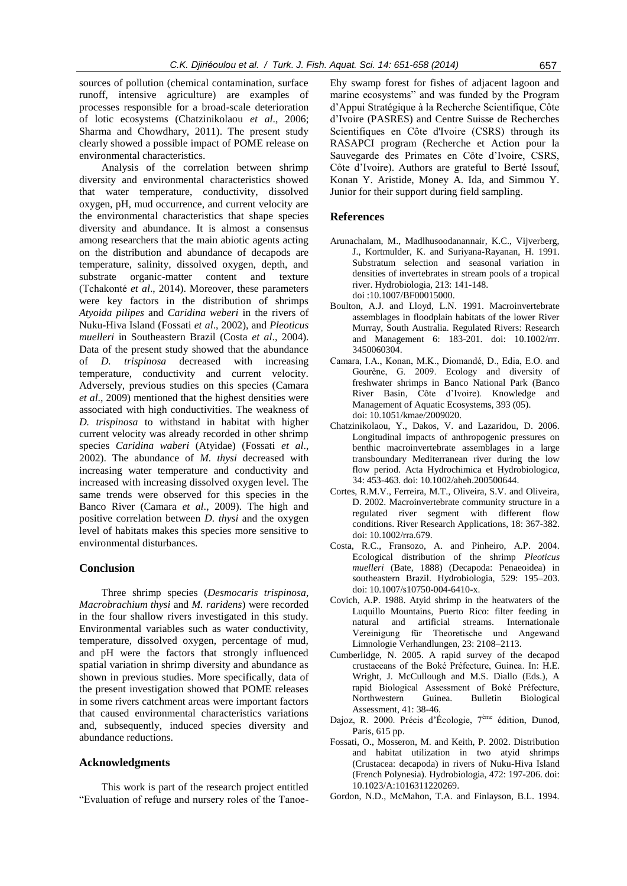sources of pollution (chemical contamination, surface runoff, intensive agriculture) are examples of processes responsible for a broad-scale deterioration of lotic ecosystems (Chatzinikolaou *et al*., 2006; Sharma and Chowdhary, 2011). The present study clearly showed a possible impact of POME release on environmental characteristics.

Analysis of the correlation between shrimp diversity and environmental characteristics showed that water temperature, conductivity, dissolved oxygen, pH, mud occurrence, and current velocity are the environmental characteristics that shape species diversity and abundance. It is almost a consensus among researchers that the main abiotic agents acting on the distribution and abundance of decapods are temperature, salinity, dissolved oxygen, depth, and substrate organic-matter content and texture (Tchakonté *et al*., 2014). Moreover, these parameters were key factors in the distribution of shrimps *Atyoida pilipes* and *Caridina weberi* in the rivers of Nuku-Hiva Island (Fossati *et al*., 2002), and *Pleoticus muelleri* in Southeastern Brazil (Costa *et al*., 2004). Data of the present study showed that the abundance of *D. trispinosa* decreased with increasing temperature, conductivity and current velocity. Adversely, previous studies on this species (Camara *et al*., 2009) mentioned that the highest densities were associated with high conductivities. The weakness of *D. trispinosa* to withstand in habitat with higher current velocity was already recorded in other shrimp species *Caridina waberi* (Atyidae) (Fossati *et al*., 2002). The abundance of *M. thysi* decreased with increasing water temperature and conductivity and increased with increasing dissolved oxygen level. The same trends were observed for this species in the Banco River (Camara *et al*., 2009). The high and positive correlation between *D. thysi* and the oxygen level of habitats makes this species more sensitive to environmental disturbances.

## **Conclusion**

Three shrimp species (*Desmocaris trispinosa*, *Macrobrachium thysi* and *M. raridens*) were recorded in the four shallow rivers investigated in this study. Environmental variables such as water conductivity, temperature, dissolved oxygen, percentage of mud, and pH were the factors that strongly influenced spatial variation in shrimp diversity and abundance as shown in previous studies. More specifically, data of the present investigation showed that POME releases in some rivers catchment areas were important factors that caused environmental characteristics variations and, subsequently, induced species diversity and abundance reductions.

#### **Acknowledgments**

This work is part of the research project entitled "Evaluation of refuge and nursery roles of the TanoeEhy swamp forest for fishes of adjacent lagoon and marine ecosystems" and was funded by the Program d'Appui Stratégique à la Recherche Scientifique, Côte d'Ivoire (PASRES) and Centre Suisse de Recherches Scientifiques en Côte d'Ivoire (CSRS) through its RASAPCI program (Recherche et Action pour la Sauvegarde des Primates en Côte d'Ivoire, CSRS, Côte d'Ivoire). Authors are grateful to Berté Issouf, Konan Y. Aristide, Money A. Ida, and Simmou Y. Junior for their support during field sampling.

#### **References**

- Arunachalam, M., Madlhusoodanannair, K.C., Vijverberg, J., Kortmulder, K. and Suriyana-Rayanan, H. 1991. Substratum selection and seasonal variation in densities of invertebrates in stream pools of a tropical river. Hydrobiologia, 213: 141-148. doi :10.1007/BF00015000.
- Boulton, A.J. and Lloyd, L.N. 1991. Macroinvertebrate assemblages in floodplain habitats of the lower River Murray, South Australia. Regulated Rivers: Research and Management 6: 183-201. doi: 10.1002/rrr. 3450060304.
- Camara, I.A., Konan, M.K., Diomandé, D., Edia, E.O. and Gourène, G. 2009. Ecology and diversity of freshwater shrimps in Banco National Park (Banco River Basin, Côte d'Ivoire). Knowledge and Management of Aquatic Ecosystems, 393 (05). [doi: 10.1051/kmae/2009020.](http://dx.doi.org/10.1051/kmae/2009020)
- Chatzinikolaou, Y., Dakos, V. and Lazaridou, D. 2006. Longitudinal impacts of anthropogenic pressures on benthic macroinvertebrate assemblages in a large transboundary Mediterranean river during the low flow period. [Acta Hydrochimica et Hydrobiologic](http://www.researchgate.net/journal/0323-4320_Acta_Hydrochimica_et_Hydrobiologica)*a*, 34: 453-463. doi: 10.1002/aheh.200500644.
- Cortes, R.M.V., Ferreira, M.T., Oliveira, S.V. and Oliveira, D. 2002. Macroinvertebrate community structure in a regulated river segment with different flow conditions. River Research Applications, 18: 367-382. doi: 10.1002/rra.679.
- Costa, R.C., Fransozo, A. and Pinheiro, A.P. 2004. Ecological distribution of the shrimp *Pleoticus muelleri* (Bate, 1888) (Decapoda: Penaeoidea) in southeastern Brazil. Hydrobiologia, 529: 195–203. doi: 10.1007/s10750-004-6410-x.
- Covich, A.P. 1988. Atyid shrimp in the heatwaters of the Luquillo Mountains, Puerto Rico: filter feeding in natural and artificial streams. Internationale Vereinigung für Theoretische und Angewand Limnologie Verhandlungen, 23: 2108–2113.
- Cumberlidge, N. 2005. A rapid survey of the decapod crustaceans of the Boké Préfecture, Guinea. In: H.E. Wright, J. McCullough and M.S. Diallo (Eds.), A rapid Biological Assessment of Boké Préfecture, Northwestern Guinea. Bulletin Biological Assessment, 41: 38-46.
- Dajoz, R. 2000. Précis d'Écologie, 7ème édition, Dunod, Paris, 615 pp.
- Fossati, O., Mosseron, M. and Keith, P. 2002. Distribution and habitat utilization in two atyid shrimps (Crustacea: decapoda) in rivers of Nuku-Hiva Island (French Polynesia). Hydrobiologia, 472: 197-206. doi: 10.1023/A:1016311220269.
- Gordon, N.D., McMahon, T.A. and Finlayson, B.L. 1994.